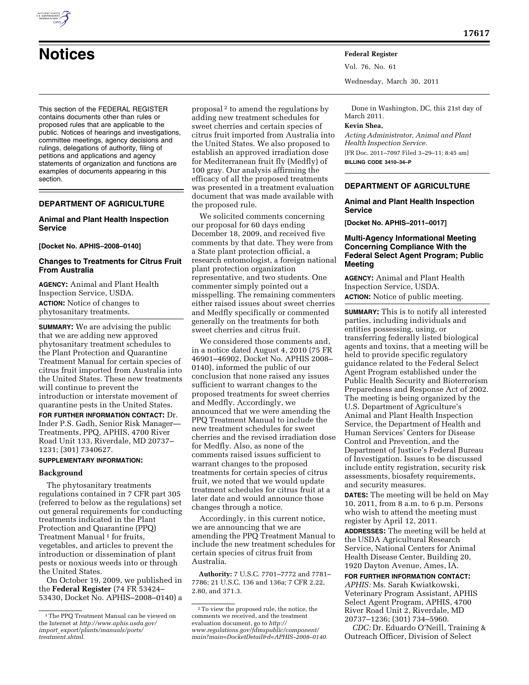

This section of the FEDERAL REGISTER contains documents other than rules or proposed rules that are applicable to the public. Notices of hearings and investigations, committee meetings, agency decisions and rulings, delegations of authority, filing of petitions and applications and agency statements of organization and functions are examples of documents appearing in this section.

# **DEPARTMENT OF AGRICULTURE**

### **Animal and Plant Health Inspection Service**

#### **[Docket No. APHIS–2008–0140]**

### **Changes to Treatments for Citrus Fruit From Australia**

**AGENCY:** Animal and Plant Health Inspection Service, USDA. **ACTION:** Notice of changes to phytosanitary treatments.

**SUMMARY:** We are advising the public that we are adding new approved phytosanitary treatment schedules to the Plant Protection and Quarantine Treatment Manual for certain species of citrus fruit imported from Australia into the United States. These new treatments will continue to prevent the introduction or interstate movement of quarantine pests in the United States.

**FOR FURTHER INFORMATION CONTACT:** Dr. Inder P.S. Gadh, Senior Risk Manager— Treatments, PPQ, APHIS, 4700 River Road Unit 133, Riverdale, MD 20737– 1231; (301) 7340627.

## **SUPPLEMENTARY INFORMATION:**

### **Background**

The phytosanitary treatments regulations contained in 7 CFR part 305 (referred to below as the regulations) set out general requirements for conducting treatments indicated in the Plant Protection and Quarantine (PPQ) Treatment Manual<sup>1</sup> for fruits, vegetables, and articles to prevent the introduction or dissemination of plant pests or noxious weeds into or through the United States.

On October 19, 2009, we published in the **Federal Register** (74 FR 53424– 53430, Docket No. APHIS–2008–0140) a

proposal 2 to amend the regulations by adding new treatment schedules for sweet cherries and certain species of citrus fruit imported from Australia into the United States. We also proposed to establish an approved irradiation dose for Mediterranean fruit fly (Medfly) of 100 gray. Our analysis affirming the efficacy of all the proposed treatments was presented in a treatment evaluation document that was made available with the proposed rule.

We solicited comments concerning our proposal for 60 days ending December 18, 2009, and received five comments by that date. They were from a State plant protection official, a research entomologist, a foreign national plant protection organization representative, and two students. One commenter simply pointed out a misspelling. The remaining commenters either raised issues about sweet cherries and Medfly specifically or commented generally on the treatments for both sweet cherries and citrus fruit.

We considered those comments and, in a notice dated August 4, 2010 (75 FR 46901–46902, Docket No. APHIS 2008– 0140), informed the public of our conclusion that none raised any issues sufficient to warrant changes to the proposed treatments for sweet cherries and Medfly. Accordingly, we announced that we were amending the PPQ Treatment Manual to include the new treatment schedules for sweet cherries and the revised irradiation dose for Medfly. Also, as none of the comments raised issues sufficient to warrant changes to the proposed treatments for certain species of citrus fruit, we noted that we would update treatment schedules for citrus fruit at a later date and would announce those changes through a notice.

Accordingly, in this current notice, we are announcing that we are amending the PPQ Treatment Manual to include the new treatment schedules for certain species of citrus fruit from Australia.

**Authority:** 7 U.S.C. 7701–7772 and 7781– 7786; 21 U.S.C. 136 and 136a; 7 CFR 2.22, 2.80, and 371.3.

Vol. 76, No. 61 Wednesday, March 30, 2011

Done in Washington, DC, this 21st day of March 2011. **Kevin Shea,** 

*Acting Administrator, Animal and Plant Health Inspection Service.*  [FR Doc. 2011–7097 Filed 3–29–11; 8:45 am] **BILLING CODE 3410–34–P** 

### **DEPARTMENT OF AGRICULTURE**

#### **Animal and Plant Health Inspection Service**

**[Docket No. APHIS–2011–0017]** 

### **Multi-Agency Informational Meeting Concerning Compliance With the Federal Select Agent Program; Public Meeting**

**AGENCY:** Animal and Plant Health Inspection Service, USDA.

**ACTION:** Notice of public meeting.

**SUMMARY:** This is to notify all interested parties, including individuals and entities possessing, using, or transferring federally listed biological agents and toxins, that a meeting will be held to provide specific regulatory guidance related to the Federal Select Agent Program established under the Public Health Security and Bioterrorism Preparedness and Response Act of 2002. The meeting is being organized by the U.S. Department of Agriculture's Animal and Plant Health Inspection Service, the Department of Health and Human Services' Centers for Disease Control and Prevention, and the Department of Justice's Federal Bureau of Investigation. Issues to be discussed include entity registration, security risk assessments, biosafety requirements, and security measures.

**DATES:** The meeting will be held on May 10, 2011, from 8 a.m. to 6 p.m. Persons who wish to attend the meeting must register by April 12, 2011.

**ADDRESSES:** The meeting will be held at the USDA Agricultural Research Service, National Centers for Animal Health Disease Center, Building 20, 1920 Dayton Avenue, Ames, IA.

**FOR FURTHER INFORMATION CONTACT:**  *APHIS:* Ms. Sarah Kwiatkowski, Veterinary Program Assistant, APHIS Select Agent Program, APHIS, 4700 River Road Unit 2, Riverdale, MD 20737–1236; (301) 734–5960.

*CDC:* Dr. Eduardo O'Neill, Training & Outreach Officer, Division of Select

<sup>1</sup>The PPQ Treatment Manual can be viewed on the Internet at *[http://www.aphis.usda.gov/](http://www.aphis.usda.gov/import_export/plants/manuals/ports/treatment.shtml) import*\_*[export/plants/manuals/ports/](http://www.aphis.usda.gov/import_export/plants/manuals/ports/treatment.shtml)  [treatment.shtml.](http://www.aphis.usda.gov/import_export/plants/manuals/ports/treatment.shtml)* 

<sup>2</sup>To view the proposed rule, the notice, the comments we received, and the treatment evaluation document, go to *[http://](http://www.regulations.gov/fdmspublic/component/main?main=DocketDetail&d=APHIS-2008-0140)  [www.regulations.gov/fdmspublic/component/](http://www.regulations.gov/fdmspublic/component/main?main=DocketDetail&d=APHIS-2008-0140) [main?main=DocketDetail&d=APHIS–2008–0140.](http://www.regulations.gov/fdmspublic/component/main?main=DocketDetail&d=APHIS-2008-0140)*